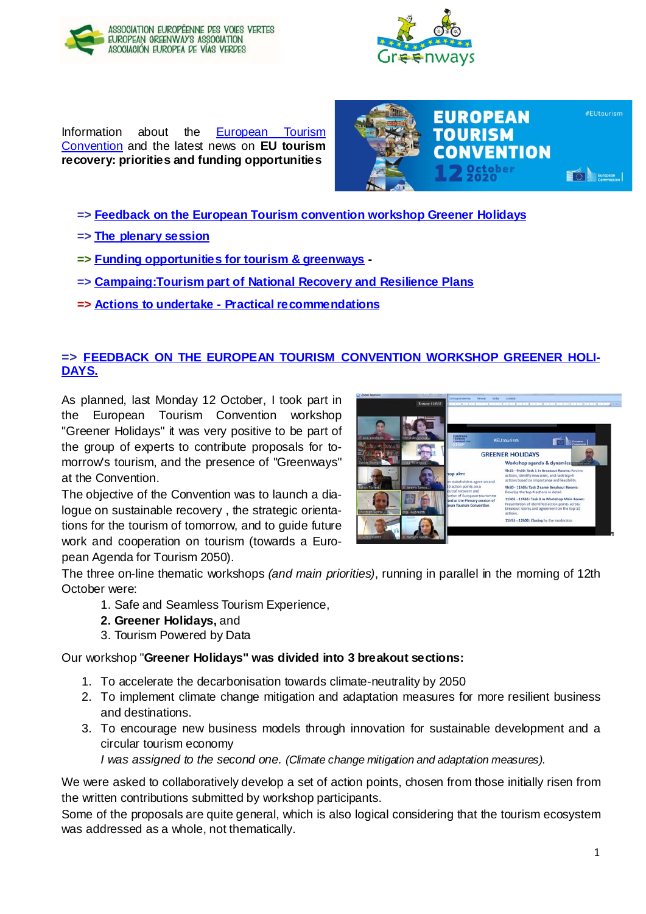



Information about the [European Tourism](https://tourism-convention.eu/)  [Convention](https://tourism-convention.eu/) and the latest news on **EU tourism recovery: priorities and funding opportunities**



- **=> [Feedback on the European Tourism convention workshop Greener Holidays](#page-0-0)**
- **=> [The plenary session](#page-1-0)**
- **=> [Funding opportunities for tourism & greenways](#page-2-0) -**
- **=> [Campaing:Tourism part of National Recovery and Resilience Plans](#page-2-1)**
- **=> Actions to undertake - [Practical recommendations](#page-3-0)**

## <span id="page-0-0"></span>**=> FEEDBACK [ON THE EUROPEAN TOURISM CONVENTION WORKSHOP GREENER HOLI-](https://www.aevv-egwa.org/event/egwa-in-the-european-tourism-convention/)[DAYS.](https://www.aevv-egwa.org/event/egwa-in-the-european-tourism-convention/)**

As planned, last Monday 12 October, I took part in the European Tourism Convention workshop "Greener Holidays" it was very positive to be part of the group of experts to contribute proposals for tomorrow's tourism, and the presence of "Greenways" at the Convention.

The objective of the Convention was to launch a dialogue on sustainable recovery , the strategic orientations for the tourism of tomorrow, and to guide future work and cooperation on tourism (towards a European Agenda for Tourism 2050).



The three on-line thematic workshops *(and main priorities)*, running in parallel in the morning of 12th October were:

- 1. Safe and Seamless Tourism Experience,
- **2. Greener Holidays,** and
- 3. Tourism Powered by Data

#### Our workshop "**Greener Holidays" was divided into 3 breakout sections:**

- 1. To accelerate the decarbonisation towards climate-neutrality by 2050
- 2. To implement climate change mitigation and adaptation measures for more resilient business and destinations.
- 3. To encourage new business models through innovation for sustainable development and a circular tourism economy

*I was assigned to the second one. (Climate change mitigation and adaptation measures).*

We were asked to collaboratively develop a set of action points, chosen from those initially risen from the written contributions submitted by workshop participants.

Some of the proposals are quite general, which is also logical considering that the tourism ecosystem was addressed as a whole, not thematically.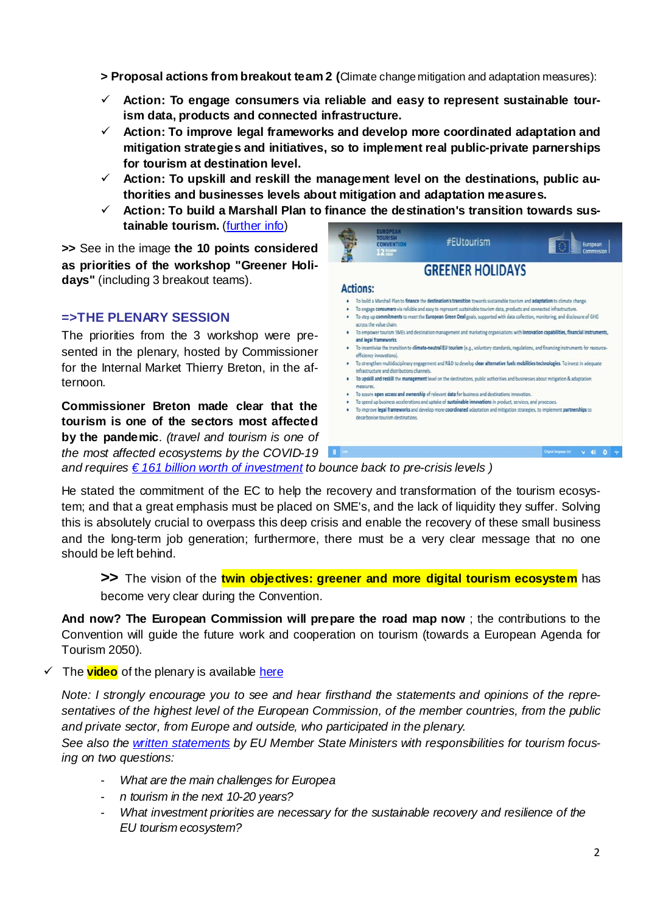**> Proposal actions from breakout team 2 (**Climate change mitigation and adaptation measures):

- **Action: To engage consumers via reliable and easy to represent sustainable tourism data, products and connected infrastructure.**
- **Action: To improve legal frameworks and develop more coordinated adaptation and mitigation strategies and initiatives, so to implement real public-private parnerships for tourism at destination level.**
- **Action: To upskill and reskill the management level on the destinations, public authorities and businesses levels about mitigation and adaptation measures.**
- **Action: To build a Marshall Plan to finance the destination's transition towards sustainable tourism.** [\(further info\)](https://necstour.eu/public-news/necstour-calls-tourism-marshall-plan-towards-sustainable-recovery-sector)

**>>** See in the image **the 10 points considered as priorities of the workshop "Greener Holidays"** (including 3 breakout teams).

### <span id="page-1-0"></span>**=>THE PLENARY SESSION**

The priorities from the 3 workshop were presented in the plenary, hosted by Commissioner for the Internal Market Thierry Breton, in the afternoon.

**Commissioner Breton made clear that the tourism is one of the sectors most affected by the pandemic**. *(travel and tourism is one of* 

*the most affected ecosystems by the COVID-19* 



- · To strengthen multidisciplinary engagement and R&D to develop clear alternative fuels mobilities technologies. To invest in adequa infrastructure and distributions channels.
- · To upskill and reskill the management level on the destinations, public authorities and businesses about mitigation & adapta
- To assure open access and ownership of relevant data for business and destinations innovation
- To speed up business accelerations and uptake of sustainable innovations in product, services, and processes.
- . To improve legal frameworks and develop more coordinated adaptation and mitigation strategies, to implement partnerships to

*and requires [€ 161 billion worth of investment](https://ec.europa.eu/info/sites/info/files/economy-finance/assessment_of_economic_and_investment_needs.pdf) to bounce back to pre-crisis levels )*

He stated the commitment of the EC to help the recovery and transformation of the tourism ecosystem; and that a great emphasis must be placed on SME's, and the lack of liquidity they suffer. Solving this is absolutely crucial to overpass this deep crisis and enable the recovery of these small business and the long-term job generation; furthermore, there must be a very clear message that no one should be left behind.

**>>** The vision of the **twin objectives: greener and more digital tourism ecosystem** has become very clear during the Convention.

**And now? The European Commission will prepare the road map now** ; the contributions to the Convention will guide the future work and cooperation on tourism (towards a European Agenda for Tourism 2050).

The **video** of the plenary is available [here](https://webcast.ec.europa.eu/european-tourism-convention)

*Note: I strongly encourage you to see and hear firsthand the statements and opinions of the representatives of the highest level of the European Commission, of the member countries, from the public and private sector, from Europe and outside, who participated in the plenary.*

*See also the [written statements](http://www.tourism-convention.eu/statements/) by EU Member State Ministers with responsibilities for tourism focusing on two questions:*

- *What are the main challenges for Europea*
- *n tourism in the next 10-20 years?*
- *What investment priorities are necessary for the sustainable recovery and resilience of the EU tourism ecosystem?*

 $\times$  0 0  $-$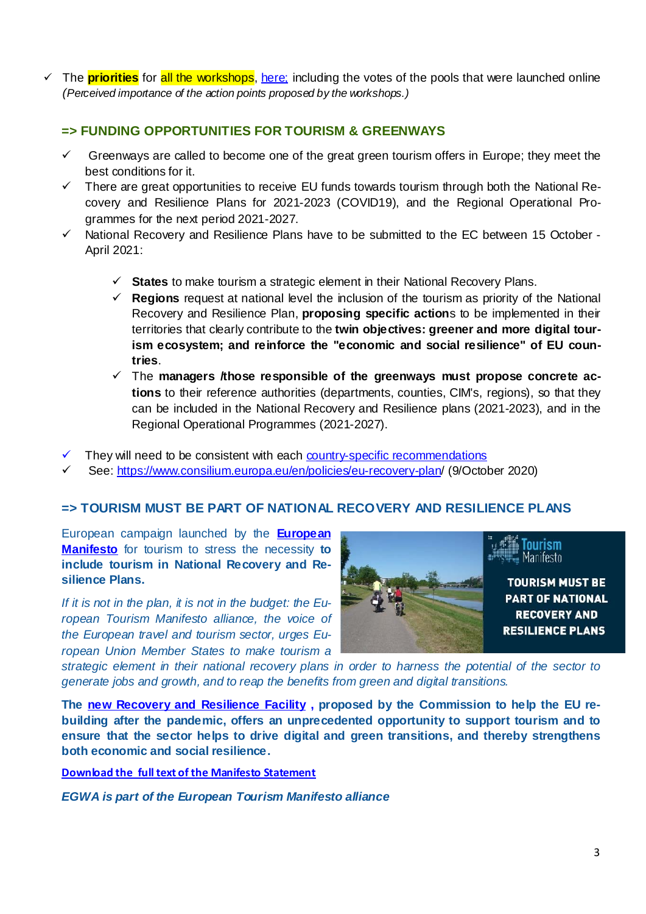$\checkmark$  The **priorities** for all the workshops[, here;](https://tourism-convention.eu/plenary-session/#pos_1969) including the votes of the pools that were launched online *(Perceived importance of the action points proposed by the workshops.)*

### <span id="page-2-0"></span>**=> FUNDING OPPORTUNITIES FOR TOURISM & GREENWAYS**

- $\checkmark$  Greenways are called to become one of the great green tourism offers in Europe; they meet the best conditions for it.
- $\checkmark$  There are great opportunities to receive EU funds towards tourism through both the National Recovery and Resilience Plans for 2021-2023 (COVID19), and the Regional Operational Programmes for the next period 2021-2027.
- $\checkmark$  National Recovery and Resilience Plans have to be submitted to the EC between 15 October -April 2021:
	- **States** to make tourism a strategic element in their National Recovery Plans.
	- $\checkmark$  Regions request at national level the inclusion of the tourism as priority of the National Recovery and Resilience Plan, **proposing specific action**s to be implemented in their territories that clearly contribute to the **twin objectives: greener and more digital tourism ecosystem; and reinforce the "economic and social resilience" of EU countries**.
	- The **managers /those responsible of the greenways must propose concrete actions** to their reference authorities (departments, counties, CIM's, regions), so that they can be included in the National Recovery and Resilience plans (2021-2023), and in the Regional Operational Programmes (2021-2027).
- They will need to be consistent with each **[country-specific recommendations](https://www.consilium.europa.eu/en/press/press-releases/2020/07/20/european-semester-2020-country-specific-recommendations-adopted/)**
- See[: https://www.consilium.europa.eu/en/policies/eu-recovery-plan/](https://www.consilium.europa.eu/en/policies/eu-recovery-plan) (9/October 2020)

### <span id="page-2-1"></span>**=> TOURISM MUST BE PART OF NATIONAL RECOVERY AND RESILIENCE PLANS**

European campaign launched by the **[European](https://tourismmanifesto.eu/)  [Manifesto](https://tourismmanifesto.eu/)** for tourism to stress the necessity **to include tourism in National Recovery and Resilience Plans.**

*If it is not in the plan, it is not in the budget: the European Tourism Manifesto alliance, the voice of the European travel and tourism sector, urges European Union Member States to make tourism a* 



*strategic element in their national recovery plans in order to harness the potential of the sector to generate jobs and growth, and to reap the benefits from green and digital transitions.*

**The [new Recovery and Resilience Facility](https://ec.europa.eu/commission/presscorner/detail/en/IP_20_1658) , proposed by the Commission to help the EU rebuilding after the pandemic, offers an unprecedented opportunity to support tourism and to ensure that the sector helps to drive digital and green transitions, and thereby strengthens both economic and social resilience.**

**[Download the full text of the Manifesto Statement](https://tourismmanifesto.eu/wp-content/uploads/2020/10/Manifesto-statement_national-recovery-and-resilience-plans.pdf)**

*EGWA is part of the European Tourism Manifesto alliance*